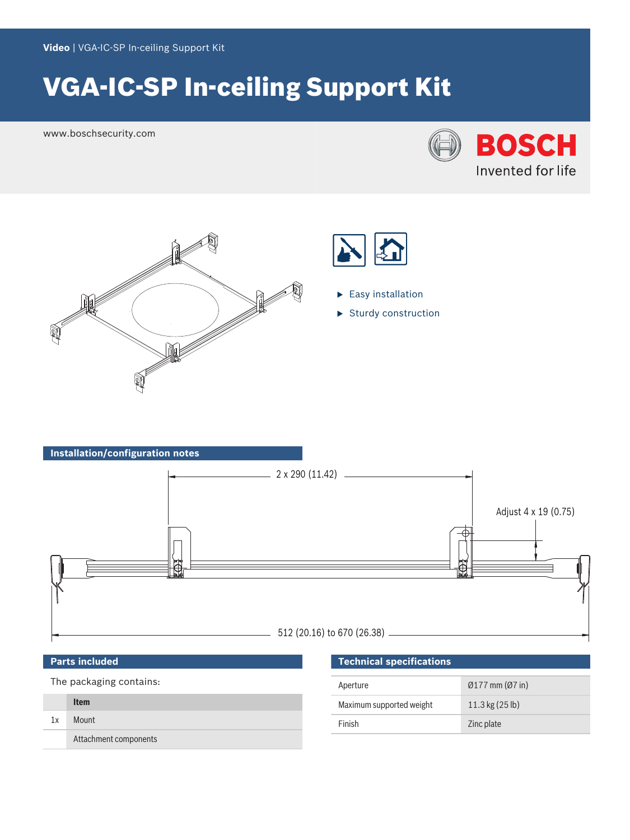# VGA-IC-SP In-ceiling Support Kit

www.boschsecurity.com







- $\blacktriangleright$  Easy installation
- $\blacktriangleright$  Sturdy construction



## **Parts included**

The packaging contains:

|    | <b>Item</b>           |
|----|-----------------------|
| 1x | Mount                 |
|    | Attachment components |

# **Technical specifications**

| Aperture                 | $\varnothing$ 177 mm ( $\varnothing$ 7 in) |
|--------------------------|--------------------------------------------|
| Maximum supported weight | $11.3 \text{ kg} (25 \text{ lb})$          |
| Finish                   | Zinc plate                                 |